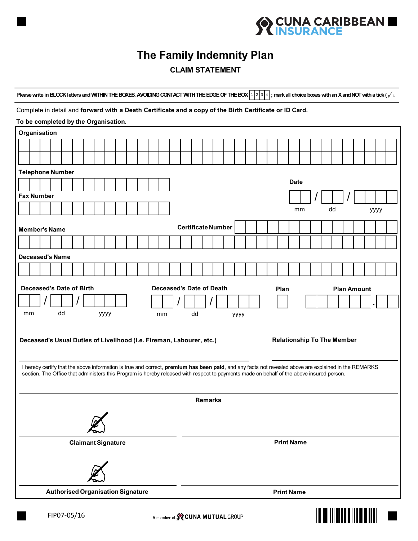

## **The Family Indemnity Plan**

## **CLAIM STATEMENT**

**Please write in BLOCK letters and WITHIN THE BOXES, AVOIDING CONTACT WITH THE EDGE OF THE BOX**  $\frac{1}{2}$ **,**  $\frac{1}{3}$ **,**  $\frac{1}{4}$ **, mark all choice boxes with an X and NOT with a tick (** $\sqrt{}$ **).** 

## Complete in detail and **forward with a Death Certificate and a copy of the Birth Certificate or ID Card.**

| Please write in BLOCK letters and WITHIN THE BOXES, AVOIDING CONTACT WITH THE EDGE OF THE BOX [1] 2] 3 [4]; mark all choice boxes with an X and NOT with a tick ( $\sqrt{}$ ). |                   |  |  |
|--------------------------------------------------------------------------------------------------------------------------------------------------------------------------------|-------------------|--|--|
| Complete in detail and forward with a Death Certificate and a copy of the Birth Certificate or ID Card.                                                                        |                   |  |  |
| To be completed by the Organisation.                                                                                                                                           |                   |  |  |
| Organisation                                                                                                                                                                   |                   |  |  |
|                                                                                                                                                                                |                   |  |  |
|                                                                                                                                                                                |                   |  |  |
| <b>Telephone Number</b>                                                                                                                                                        |                   |  |  |
| <b>Date</b>                                                                                                                                                                    |                   |  |  |
| <b>Fax Number</b>                                                                                                                                                              |                   |  |  |
|                                                                                                                                                                                | dd<br>mm<br>уууу  |  |  |
| <b>Certificate Number</b>                                                                                                                                                      |                   |  |  |
| <b>Member's Name</b>                                                                                                                                                           |                   |  |  |
|                                                                                                                                                                                |                   |  |  |
| <b>Deceased's Name</b>                                                                                                                                                         |                   |  |  |
|                                                                                                                                                                                |                   |  |  |
| Deceased's Date of Birth<br><b>Deceased's Date of Death</b><br>Plan<br><b>Plan Amount</b>                                                                                      |                   |  |  |
|                                                                                                                                                                                |                   |  |  |
| dd<br>mm<br>уууу<br>dd<br>mm<br>уууу                                                                                                                                           |                   |  |  |
|                                                                                                                                                                                |                   |  |  |
| <b>Relationship To The Member</b><br>Deceased's Usual Duties of Livelihood (i.e. Fireman, Labourer, etc.)                                                                      |                   |  |  |
|                                                                                                                                                                                |                   |  |  |
| I hereby certify that the above information is true and correct, premium has been paid, and any facts not revealed above are explained in the REMARKS                          |                   |  |  |
| section. The Office that administers this Program is hereby released with respect to payments made on behalf of the above insured person.                                      |                   |  |  |
|                                                                                                                                                                                |                   |  |  |
| <b>Remarks</b>                                                                                                                                                                 |                   |  |  |
|                                                                                                                                                                                |                   |  |  |
|                                                                                                                                                                                |                   |  |  |
| <b>Claimant Signature</b>                                                                                                                                                      | <b>Print Name</b> |  |  |
|                                                                                                                                                                                |                   |  |  |
|                                                                                                                                                                                |                   |  |  |
|                                                                                                                                                                                |                   |  |  |
| <b>Authorised Organisation Signature</b>                                                                                                                                       | <b>Print Name</b> |  |  |
|                                                                                                                                                                                |                   |  |  |



н